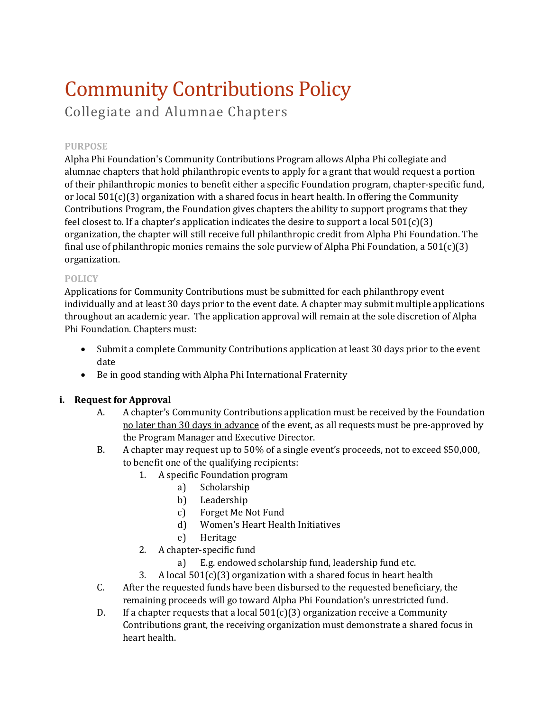# Community Contributions Policy

Collegiate and Alumnae Chapters

## **PURPOSE**

Alpha Phi Foundation's Community Contributions Program allows Alpha Phi collegiate and alumnae chapters that hold philanthropic events to apply for a grant that would request a portion of their philanthropic monies to benefit either a specific Foundation program, chapter-specific fund, or local  $501(c)(3)$  organization with a shared focus in heart health. In offering the Community Contributions Program, the Foundation gives chapters the ability to support programs that they feel closest to. If a chapter's application indicates the desire to support a local  $501(c)(3)$ organization, the chapter will still receive full philanthropic credit from Alpha Phi Foundation. The final use of philanthropic monies remains the sole purview of Alpha Phi Foundation, a  $501(c)(3)$ organization.

## **POLICY**

Applications for Community Contributions must be submitted for each philanthropy event individually and at least 30 days prior to the event date. A chapter may submit multiple applications throughout an academic year. The application approval will remain at the sole discretion of Alpha Phi Foundation. Chapters must:

- Submit a complete Community Contributions application at least 30 days prior to the event date
- Be in good standing with Alpha Phi International Fraternity

## **i. Request for Approval**

- A. A chapter's Community Contributions application must be received by the Foundation no later than 30 days in advance of the event, as all requests must be pre-approved by the Program Manager and Executive Director.
- B. A chapter may request up to 50% of a single event's proceeds, not to exceed \$50,000, to benefit one of the qualifying recipients:
	- 1. A specific Foundation program
		- a) Scholarship<br>b) Leadership
		- b) Leadership
		- c) Forget Me Not Fund
		- d) Women's Heart Health Initiatives
		- e) Heritage
	- 2. A chapter-specific fund<br>a) E.g. endowed
		- E.g. endowed scholarship fund, leadership fund etc.
	- 3. A local  $501(c)(3)$  organization with a shared focus in heart health
- C. After the requested funds have been disbursed to the requested beneficiary, the remaining proceeds will go toward Alpha Phi Foundation's unrestricted fund.
- D. If a chapter requests that a local  $501(c)(3)$  organization receive a Community Contributions grant, the receiving organization must demonstrate a shared focus in heart health.